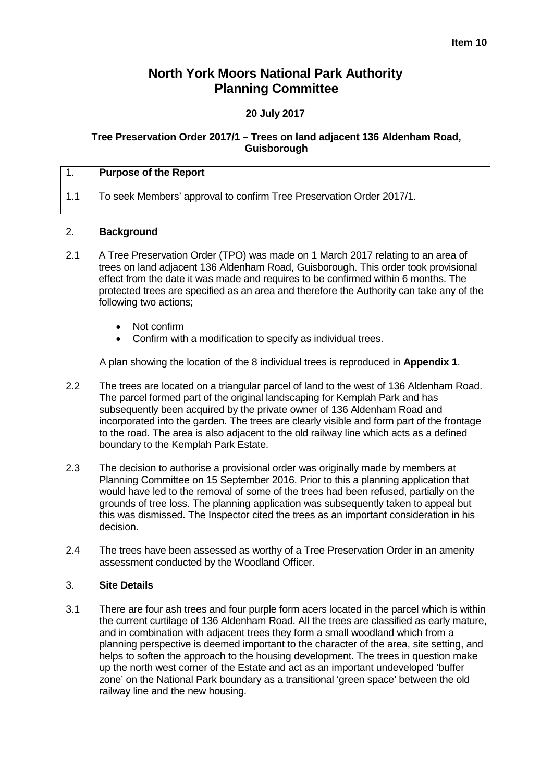# **North York Moors National Park Authority Planning Committee**

# **20 July 2017**

### **Tree Preservation Order 2017/1 – Trees on land adjacent 136 Aldenham Road, Guisborough**

### 1. **Purpose of the Report**

1.1 To seek Members' approval to confirm Tree Preservation Order 2017/1.

### 2. **Background**

- 2.1 A Tree Preservation Order (TPO) was made on 1 March 2017 relating to an area of trees on land adjacent 136 Aldenham Road, Guisborough. This order took provisional effect from the date it was made and requires to be confirmed within 6 months. The protected trees are specified as an area and therefore the Authority can take any of the following two actions;
	- Not confirm
	- Confirm with a modification to specify as individual trees.

A plan showing the location of the 8 individual trees is reproduced in **Appendix 1**.

- 2.2 The trees are located on a triangular parcel of land to the west of 136 Aldenham Road. The parcel formed part of the original landscaping for Kemplah Park and has subsequently been acquired by the private owner of 136 Aldenham Road and incorporated into the garden. The trees are clearly visible and form part of the frontage to the road. The area is also adjacent to the old railway line which acts as a defined boundary to the Kemplah Park Estate.
- 2.3 The decision to authorise a provisional order was originally made by members at Planning Committee on 15 September 2016. Prior to this a planning application that would have led to the removal of some of the trees had been refused, partially on the grounds of tree loss. The planning application was subsequently taken to appeal but this was dismissed. The Inspector cited the trees as an important consideration in his decision.
- 2.4 The trees have been assessed as worthy of a Tree Preservation Order in an amenity assessment conducted by the Woodland Officer.

## 3. **Site Details**

3.1 There are four ash trees and four purple form acers located in the parcel which is within the current curtilage of 136 Aldenham Road. All the trees are classified as early mature, and in combination with adjacent trees they form a small woodland which from a planning perspective is deemed important to the character of the area, site setting, and helps to soften the approach to the housing development. The trees in question make up the north west corner of the Estate and act as an important undeveloped 'buffer zone' on the National Park boundary as a transitional 'green space' between the old railway line and the new housing.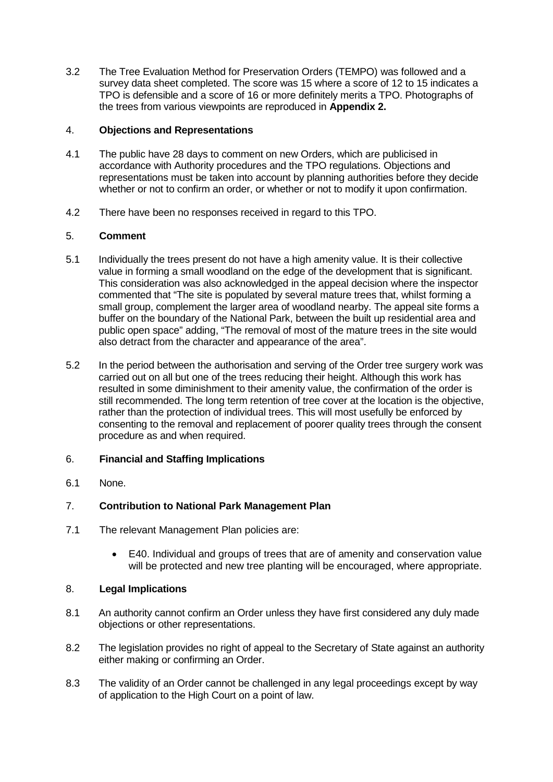3.2 The Tree Evaluation Method for Preservation Orders (TEMPO) was followed and a survey data sheet completed. The score was 15 where a score of 12 to 15 indicates a TPO is defensible and a score of 16 or more definitely merits a TPO. Photographs of the trees from various viewpoints are reproduced in **Appendix 2.**

## 4. **Objections and Representations**

- 4.1 The public have 28 days to comment on new Orders, which are publicised in accordance with Authority procedures and the TPO regulations. Objections and representations must be taken into account by planning authorities before they decide whether or not to confirm an order, or whether or not to modify it upon confirmation.
- 4.2 There have been no responses received in regard to this TPO.

## 5. **Comment**

- 5.1 Individually the trees present do not have a high amenity value. It is their collective value in forming a small woodland on the edge of the development that is significant. This consideration was also acknowledged in the appeal decision where the inspector commented that "The site is populated by several mature trees that, whilst forming a small group, complement the larger area of woodland nearby. The appeal site forms a buffer on the boundary of the National Park, between the built up residential area and public open space" adding, "The removal of most of the mature trees in the site would also detract from the character and appearance of the area".
- 5.2 In the period between the authorisation and serving of the Order tree surgery work was carried out on all but one of the trees reducing their height. Although this work has resulted in some diminishment to their amenity value, the confirmation of the order is still recommended. The long term retention of tree cover at the location is the objective, rather than the protection of individual trees. This will most usefully be enforced by consenting to the removal and replacement of poorer quality trees through the consent procedure as and when required.

# 6. **Financial and Staffing Implications**

6.1 None.

# 7. **Contribution to National Park Management Plan**

- 7.1 The relevant Management Plan policies are:
	- E40. Individual and groups of trees that are of amenity and conservation value will be protected and new tree planting will be encouraged, where appropriate.

### 8. **Legal Implications**

- 8.1 An authority cannot confirm an Order unless they have first considered any duly made objections or other representations.
- 8.2 The legislation provides no right of appeal to the Secretary of State against an authority either making or confirming an Order.
- 8.3 The validity of an Order cannot be challenged in any legal proceedings except by way of application to the High Court on a point of law.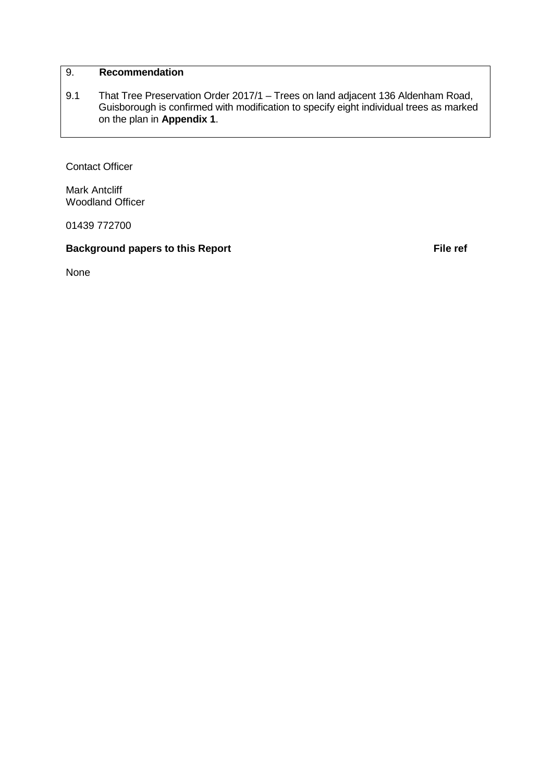# 9. **Recommendation**

9.1 That Tree Preservation Order 2017/1 – Trees on land adjacent 136 Aldenham Road, Guisborough is confirmed with modification to specify eight individual trees as marked on the plan in **Appendix 1**.

Contact Officer

Mark Antcliff Woodland Officer

01439 772700

**Background papers to this Report File ref File ref** 

None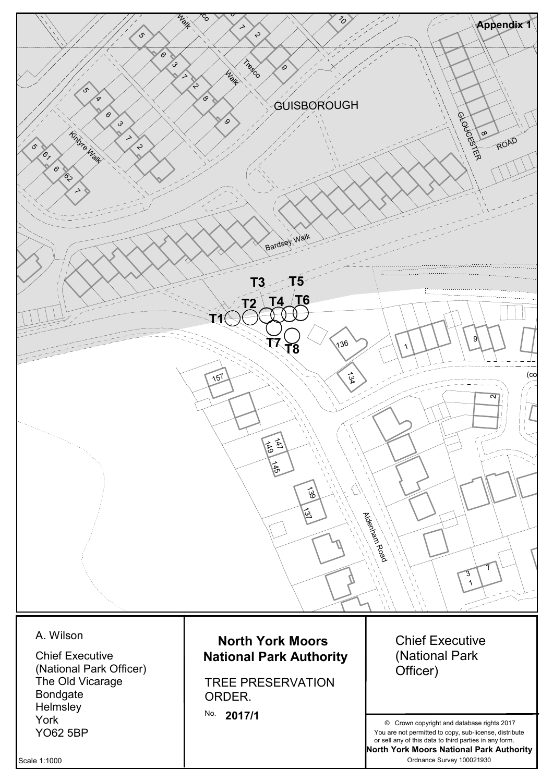

Scale 1:1000

Ordnance Survey 100021930 **North York Moors National Park Authority** or sell any of this data to third parties in any form.